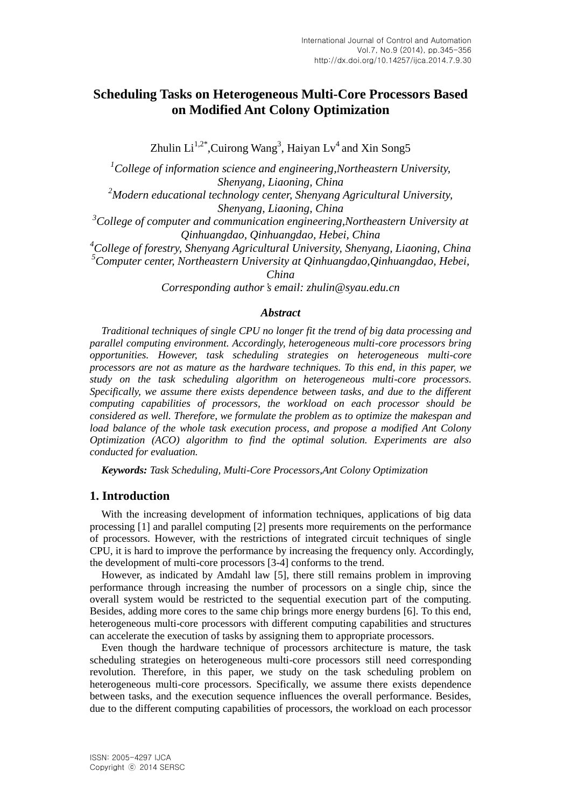# **Scheduling Tasks on Heterogeneous Multi-Core Processors Based on Modified Ant Colony Optimization**

Zhulin  $Li^{1,2*}$ , Cuirong Wang<sup>3</sup>, Haiyan  $Lv^4$  and Xin Song5

*<sup>1</sup>College of information science and engineering,Northeastern University, Shenyang, Liaoning, China*

*<sup>2</sup>Modern educational technology center, Shenyang Agricultural University, Shenyang, Liaoning, China*

*<sup>3</sup>College of computer and communication engineering,Northeastern University at Qinhuangdao, Qinhuangdao, Hebei, China*

*<sup>4</sup>College of forestry, Shenyang Agricultural University, Shenyang, Liaoning, China <sup>5</sup>Computer center, Northeastern University at Qinhuangdao,Qinhuangdao, Hebei,* 

*China*

*Corresponding author's email: zhulin@syau.edu.cn*

### *Abstract*

*Traditional techniques of single CPU no longer fit the trend of big data processing and parallel computing environment. Accordingly, heterogeneous multi-core processors bring opportunities. However, task scheduling strategies on heterogeneous multi-core processors are not as mature as the hardware techniques. To this end, in this paper, we study on the task scheduling algorithm on heterogeneous multi-core processors. Specifically, we assume there exists dependence between tasks, and due to the different computing capabilities of processors, the workload on each processor should be considered as well. Therefore, we formulate the problem as to optimize the makespan and load balance of the whole task execution process, and propose a modified Ant Colony Optimization (ACO) algorithm to find the optimal solution. Experiments are also conducted for evaluation.*

*Keywords: Task Scheduling, Multi-Core Processors,Ant Colony Optimization*

### **1. Introduction**

With the increasing development of information techniques, applications of big data processing [1] and parallel computing [2] presents more requirements on the performance of processors. However, with the restrictions of integrated circuit techniques of single CPU, it is hard to improve the performance by increasing the frequency only. Accordingly, the development of multi-core processors [3-4] conforms to the trend.

However, as indicated by Amdahl law [5], there still remains problem in improving performance through increasing the number of processors on a single chip, since the overall system would be restricted to the sequential execution part of the computing. Besides, adding more cores to the same chip brings more energy burdens [6]. To this end, heterogeneous multi-core processors with different computing capabilities and structures can accelerate the execution of tasks by assigning them to appropriate processors.

Even though the hardware technique of processors architecture is mature, the task scheduling strategies on heterogeneous multi-core processors still need corresponding revolution. Therefore, in this paper, we study on the task scheduling problem on heterogeneous multi-core processors. Specifically, we assume there exists dependence between tasks, and the execution sequence influences the overall performance. Besides, due to the different computing capabilities of processors, the workload on each processor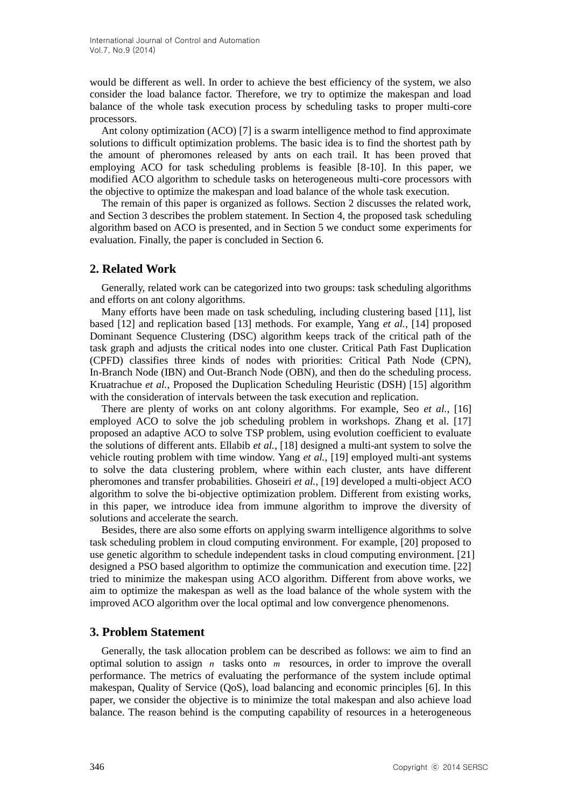would be different as well. In order to achieve the best efficiency of the system, we also consider the load balance factor. Therefore, we try to optimize the makespan and load balance of the whole task execution process by scheduling tasks to proper multi-core processors.

Ant colony optimization (ACO) [7] is a swarm intelligence method to find approximate solutions to difficult optimization problems. The basic idea is to find the shortest path by the amount of pheromones released by ants on each trail. It has been proved that employing ACO for task scheduling problems is feasible [8-10]. In this paper, we modified ACO algorithm to schedule tasks on heterogeneous multi-core processors with the objective to optimize the makespan and load balance of the whole task execution.

The remain of this paper is organized as follows. Section 2 discusses the related work, and Section 3 describes the problem statement. In Section 4, the proposed task scheduling algorithm based on ACO is presented, and in Section 5 we conduct some experiments for evaluation. Finally, the paper is concluded in Section 6.

# **2. Related Work**

Generally, related work can be categorized into two groups: task scheduling algorithms and efforts on ant colony algorithms.

Many efforts have been made on task scheduling, including clustering based [11], list based [12] and replication based [13] methods. For example, Yang *et al.*, [14] proposed Dominant Sequence Clustering (DSC) algorithm keeps track of the critical path of the task graph and adjusts the critical nodes into one cluster. Critical Path Fast Duplication (CPFD) classifies three kinds of nodes with priorities: Critical Path Node (CPN), In-Branch Node (IBN) and Out-Branch Node (OBN), and then do the scheduling process. Kruatrachue *et al.*, Proposed the Duplication Scheduling Heuristic (DSH) [15] algorithm with the consideration of intervals between the task execution and replication.

There are plenty of works on ant colony algorithms. For example, Seo *et al.*, [16] employed ACO to solve the job scheduling problem in workshops. Zhang et al. [17] proposed an adaptive ACO to solve TSP problem, using evolution coefficient to evaluate the solutions of different ants. Ellabib *et al.*, [18] designed a multi-ant system to solve the vehicle routing problem with time window. Yang *et al.*, [19] employed multi-ant systems to solve the data clustering problem, where within each cluster, ants have different pheromones and transfer probabilities. Ghoseiri *et al.*, [19] developed a multi-object ACO algorithm to solve the bi-objective optimization problem. Different from existing works, in this paper, we introduce idea from immune algorithm to improve the diversity of solutions and accelerate the search.

Besides, there are also some efforts on applying swarm intelligence algorithms to solve task scheduling problem in cloud computing environment. For example, [20] proposed to use genetic algorithm to schedule independent tasks in cloud computing environment. [21] designed a PSO based algorithm to optimize the communication and execution time. [22] tried to minimize the makespan using ACO algorithm. Different from above works, we aim to optimize the makespan as well as the load balance of the whole system with the improved ACO algorithm over the local optimal and low convergence phenomenons.

### **3. Problem Statement**

Generally, the task allocation problem can be described as follows: we aim to find an optimal solution to assign  $n$  tasks onto  $m$  resources, in order to improve the overall performance. The metrics of evaluating the performance of the system include optimal makespan, Quality of Service (QoS), load balancing and economic principles [6]. In this paper, we consider the objective is to minimize the total makespan and also achieve load balance. The reason behind is the computing capability of resources in a heterogeneous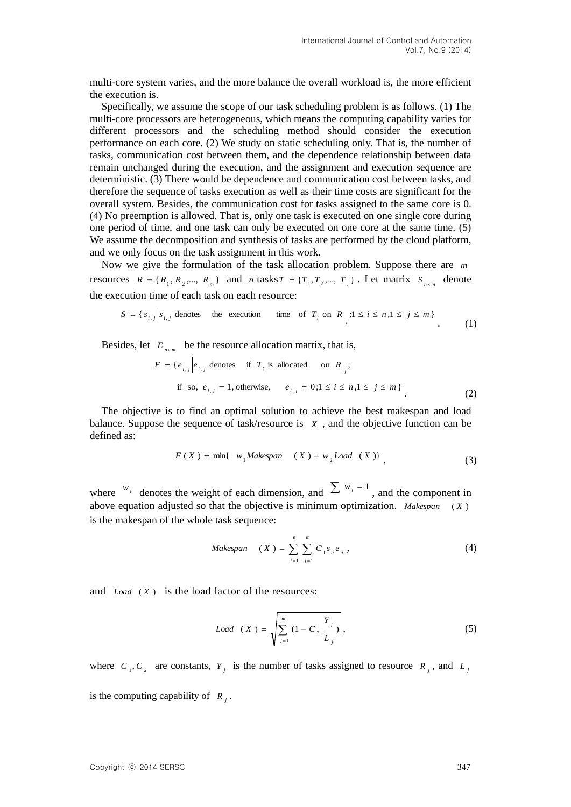multi-core system varies, and the more balance the overall workload is, the more efficient the execution is.

Specifically, we assume the scope of our task scheduling problem is as follows. (1) The multi-core processors are heterogeneous, which means the computing capability varies for different processors and the scheduling method should consider the execution performance on each core. (2) We study on static scheduling only. That is, the number of tasks, communication cost between them, and the dependence relationship between data remain unchanged during the execution, and the assignment and execution sequence are deterministic. (3) There would be dependence and communication cost between tasks, and therefore the sequence of tasks execution as well as their time costs are significant for the overall system. Besides, the communication cost for tasks assigned to the same core is 0. (4) No preemption is allowed. That is, only one task is executed on one single core during one period of time, and one task can only be executed on one core at the same time. (5) We assume the decomposition and synthesis of tasks are performed by the cloud platform, and we only focus on the task assignment in this work.

Now we give the formulation of the task allocation problem. Suppose there are *m* resources  $R = \{R_1, R_2, \dots, R_m\}$  and *n* tasks  $T = \{T_1, T_2, \dots, T_n\}$ . Let matrix  $S_{n \times m}$  denote the execution time of each task on each resource:

$$
S = \{s_{i,j} \mid s_{i,j} \text{ denotes the execution time of } T_i \text{ on } R_j; 1 \le i \le n, 1 \le j \le m \}
$$
 (1)

Besides, let  $E_{n \times m}$  be the resource allocation matrix, that is,

$$
E = \{e_{i,j} | e_{i,j} \text{ denotes} \text{ if } T_i \text{ is allocated} \text{ on } R_j; \text{ if so, } e_{i,j} = 1, \text{ otherwise, } e_{i,j} = 0; 1 \le i \le n, 1 \le j \le m \}
$$
\n
$$
(2)
$$

The objective is to find an optimal solution to achieve the best makespan and load balance. Suppose the sequence of task/resource is  $X$ , and the objective function can be defined as:

$$
F(X) = \min\{w_1 Makespan \quad (X) + w_2 Load \quad (X)\}\tag{3}
$$

where  $w_i$  denotes the weight of each dimension, and  $\sum w_i = 1$ , and the component in above equation adjusted so that the objective is minimum optimization. *Makespan* ( *X* ) is the makespan of the whole task sequence:

*Makespan* 
$$
(X) = \sum_{i=1}^{n} \sum_{j=1}^{m} C_i s_{ij} e_{ij}
$$
, (4)

and *Load* (X) is the load factor of the resources:

$$
Load (X) = \sqrt{\sum_{j=1}^{m} (1 - C_2 \frac{Y_j}{L_j})},
$$
\n(5)

where  $C_1, C_2$  are constants,  $Y_j$  is the number of tasks assigned to resource  $R_j$ , and  $L_j$ is the computing capability of  $R_i$ .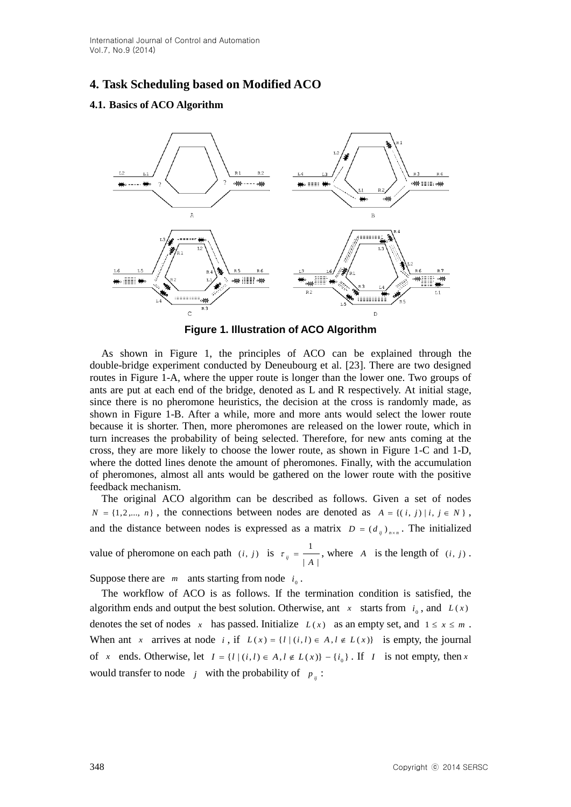# **4. Task Scheduling based on Modified ACO**

### **4.1. Basics of ACO Algorithm**



**Figure 1. Illustration of ACO Algorithm**

As shown in Figure 1, the principles of ACO can be explained through the double-bridge experiment conducted by Deneubourg et al. [23]. There are two designed routes in Figure 1-A, where the upper route is longer than the lower one. Two groups of ants are put at each end of the bridge, denoted as L and R respectively. At initial stage, since there is no pheromone heuristics, the decision at the cross is randomly made, as shown in Figure 1-B. After a while, more and more ants would select the lower route because it is shorter. Then, more pheromones are released on the lower route, which in turn increases the probability of being selected. Therefore, for new ants coming at the cross, they are more likely to choose the lower route, as shown in Figure 1-C and 1-D, where the dotted lines denote the amount of pheromones. Finally, with the accumulation of pheromones, almost all ants would be gathered on the lower route with the positive feedback mechanism.

The original ACO algorithm can be described as follows. Given a set of nodes  $N = \{1, 2, \dots, n\}$ , the connections between nodes are denoted as  $A = \{(i, j) | i, j \in N\}$ , and the distance between nodes is expressed as a matrix  $D = (d_{ij})_{n \times n}$ . The initialized

value of pheromone on each path  $(i, j)$  is  $|A|$ 1  $\tau_{ij} = \frac{1}{|A|}$ , where *A* is the length of (*i*, *j*).

Suppose there are  $m$  ants starting from node  $i_0$ .

The workflow of ACO is as follows. If the termination condition is satisfied, the algorithm ends and output the best solution. Otherwise, ant  $x$  starts from  $i_0$ , and  $L(x)$ denotes the set of nodes x has passed. Initialize  $L(x)$  as an empty set, and  $1 \le x \le m$ . When ant x arrives at node i, if  $L(x) = \{l | (i, l) \in A, l \notin L(x) \}$  is empty, the journal of *x* ends. Otherwise, let  $I = \{l \mid (i, l) \in A, l \notin L(x)\} - \{i_0\}$ . If *I* is not empty, then *x* would transfer to node *j* with the probability of  $p_{ij}$ :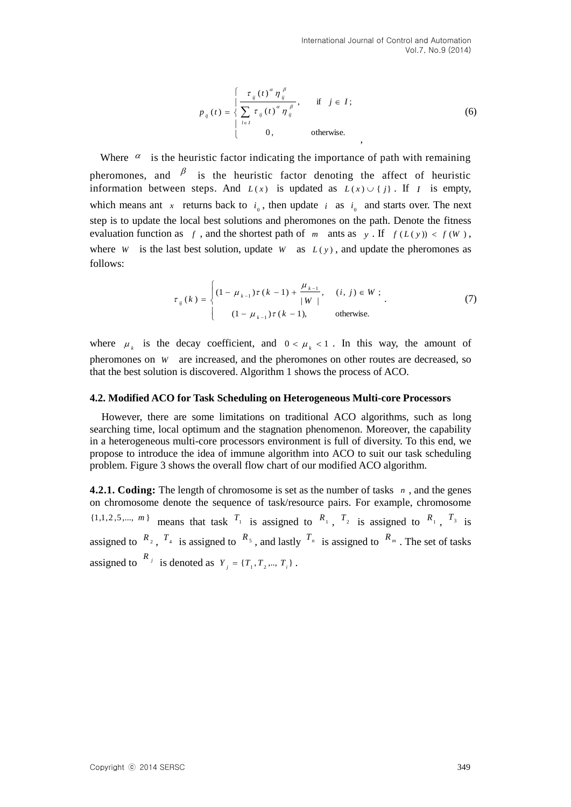$$
p_{ij}(t) = \begin{cases} \frac{\tau_{ij}(t)^{\alpha} \eta_{ij}^{\beta}}{\sum_{l \in I} \tau_{ij}(t)^{\alpha} \eta_{ij}^{\beta}}, & \text{if } j \in I; \\ 0, & \text{otherwise.} \end{cases}
$$
(6)

Where  $\alpha$  is the heuristic factor indicating the importance of path with remaining pheromones, and  $\beta$  is the heuristic factor denoting the affect of heuristic information between steps. And  $L(x)$  is updated as  $L(x) \cup \{j\}$ . If *I* is empty, which means ant x returns back to  $i_0$ , then update i as  $i_0$  and starts over. The next step is to update the local best solutions and pheromones on the path. Denote the fitness evaluation function as f, and the shortest path of m ants as y. If  $f(L(y)) < f(W)$ , where *W* is the last best solution, update *W* as  $L(y)$ , and update the pheromones as follows:

$$
\tau_{ij}(k) = \begin{cases}\n(1 - \mu_{k-1})\tau(k-1) + \frac{\mu_{k-1}}{|W|}, & (i, j) \in W; \\
(1 - \mu_{k-1})\tau(k-1), & \text{otherwise.} \n\end{cases}
$$
\n(7)

where  $\mu_k$  is the decay coefficient, and  $0 < \mu_k < 1$ . In this way, the amount of pheromones on *W* are increased, and the pheromones on other routes are decreased, so that the best solution is discovered. Algorithm 1 shows the process of ACO.

#### **4.2. Modified ACO for Task Scheduling on Heterogeneous Multi-core Processors**

However, there are some limitations on traditional ACO algorithms, such as long searching time, local optimum and the stagnation phenomenon. Moreover, the capability in a heterogeneous multi-core processors environment is full of diversity. To this end, we propose to introduce the idea of immune algorithm into ACO to suit our task scheduling problem. Figure 3 shows the overall flow chart of our modified ACO algorithm.

**4.2.1. Coding:** The length of chromosome is set as the number of tasks  $n$ , and the genes on chromosome denote the sequence of task/resource pairs. For example, chromosome {1,1,2,5,..., *m*} means that task  $T_1$  is assigned to  $R_1$ ,  $T_2$  is assigned to  $R_1$ ,  $T_3$  is assigned to  $\binom{R_2}{1}$ ,  $\binom{T_4}{1}$  is assigned to  $\binom{R_5}{1}$ , and lastly  $\binom{T_n}{1}$  is assigned to  $\binom{R_m}{1}$ . The set of tasks assigned to  $\binom{R_i}{i}$  is denoted as  $Y_i = \{T_1, T_2, ..., T_i\}$ .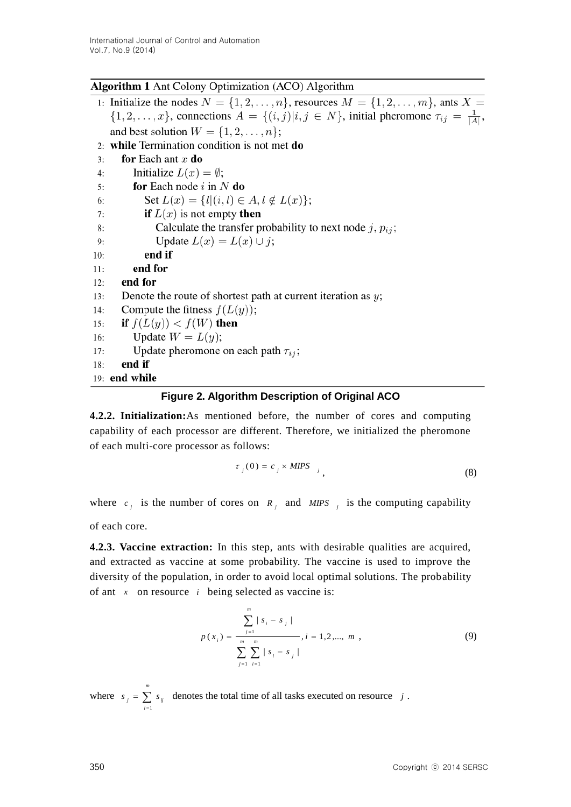# **Algorithm 1** Ant Colony Optimization (ACO) Algorithm

1: Initialize the nodes  $N = \{1, 2, \ldots, n\}$ , resources  $M = \{1, 2, \ldots, m\}$ , ants  $X =$  $\{1, 2, \ldots, x\}$ , connections  $A = \{(i, j)|i, j \in N\}$ , initial pheromone  $\tau_{ij} = \frac{1}{|A|}$ , and best solution  $W = \{1, 2, \ldots, n\}$ ; 2: while Termination condition is not met  $do$ for Each ant  $x$  do  $3:$ Initialize  $L(x) = \emptyset$ ;  $4:$ for Each node  $i$  in  $N$  do  $5:$ Set  $L(x) = \{l|(i,l) \in A, l \notin L(x)\};$ 6: **if**  $L(x)$  is not empty **then** 7: Calculate the transfer probability to next node j,  $p_{ij}$ ; 8: Update  $L(x) = L(x) \cup j$ ; 9: end if  $10:$ end for  $11:$ end for  $12:$ Denote the route of shortest path at current iteration as  $y$ ;  $13:$ Compute the fitness  $f(L(y))$ ;  $14:$ if  $f(L(y)) < f(W)$  then  $15:$ Update  $W = L(y)$ ; 16: Update pheromone on each path  $\tau_{ij}$ ;  $17:$ end if  $18:$ 19: end while

# **Figure 2. Algorithm Description of Original ACO**

**4.2.2. Initialization:**As mentioned before, the number of cores and computing capability of each processor are different. Therefore, we initialized the pheromone of each multi-core processor as follows:

$$
\tau_j(0) = c_j \times MIPS_{j}
$$
\n(8)

where  $c_j$  is the number of cores on  $R_j$  and *MIPS j* is the computing capability

of each core.

**4.2.3. Vaccine extraction:** In this step, ants with desirable qualities are acquired, and extracted as vaccine at some probability. The vaccine is used to improve the diversity of the population, in order to avoid local optimal solutions. The probability of ant  $x$  on resource  $i$  being selected as vaccine is:

$$
p(x_i) = \frac{\sum_{j=1}^{m} |s_i - s_j|}{\sum_{j=1}^{m} \sum_{i=1}^{m} |s_i - s_j|}, i = 1, 2, ..., m,
$$
 (9)

where  $s_j = \sum$  $\overline{a}$ *m i*  $s_j = \sum s_{ij}$  denotes the total time of all tasks executed on resource *j*. 1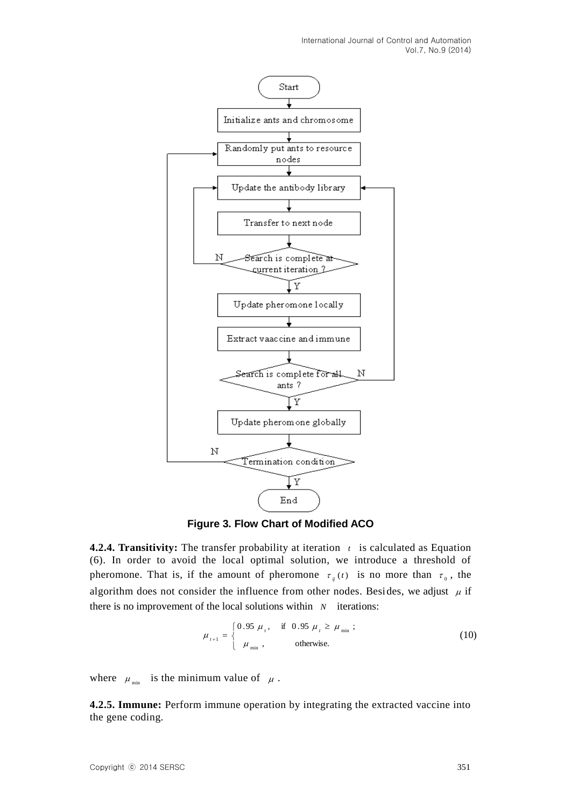

**Figure 3. Flow Chart of Modified ACO** 

**4.2.4. Transitivity:** The transfer probability at iteration  $t$  is calculated as Equation (6). In order to avoid the local optimal solution, we introduce a threshold of pheromone. That is, if the amount of pheromone  $\tau_{ij}(t)$  is no more than  $\tau_0$ , the algorithm does not consider the influence from other nodes. Besides, we adjust  $\mu$  if there is no improvement of the local solutions within  $N$  iterations:

$$
\mu_{t+1} = \begin{cases}\n0.95 \ \mu_t, & \text{if } 0.95 \ \mu_t \ge \mu_{\min} ; \\
\mu_{\min}, & \text{otherwise.} \n\end{cases}
$$
\n(10)

where  $\mu_{\min}$  is the minimum value of  $\mu$ .

**4.2.5. Immune:** Perform immune operation by integrating the extracted vaccine into the gene coding.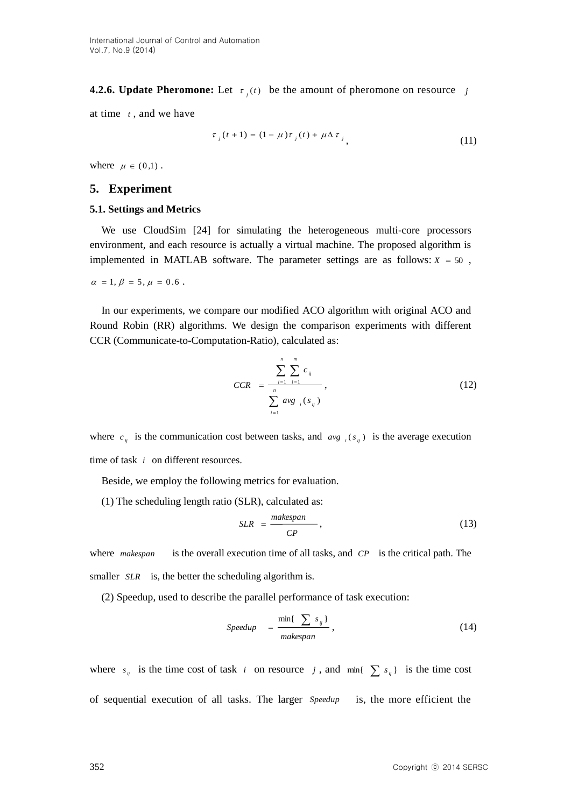# **4.2.6. Update Pheromone:** Let  $\tau_j(t)$  be the amount of pheromone on resource j

at time *t* , and we have

$$
\tau_j(t+1) = (1 - \mu)\tau_j(t) + \mu \Delta \tau_j
$$
\n(11)

where  $\mu \in (0,1)$ .

### **5. Experiment**

#### **5.1. Settings and Metrics**

We use CloudSim [24] for simulating the heterogeneous multi-core processors environment, and each resource is actually a virtual machine. The proposed algorithm is implemented in MATLAB software. The parameter settings are as follows:  $X = 50$ ,

 $\alpha = 1, \beta = 5, \mu = 0.6$ .

In our experiments, we compare our modified ACO algorithm with original ACO and Round Robin (RR) algorithms. We design the comparison experiments with different CCR (Communicate-to-Computation-Ratio), calculated as:

$$
CCR = \frac{\sum_{i=1}^{n} \sum_{i=1}^{m} c_{ij}}{\sum_{i=1}^{n} avg_{i}(s_{ij})},
$$
\n(12)

where  $c_{ij}$  is the communication cost between tasks, and  $avg_{i}(s_{ij})$  is the average execution time of task *i* on different resources.

Beside, we employ the following metrics for evaluation.

(1) The scheduling length ratio (SLR), calculated as:

$$
SLR = \frac{makespan}{CP},
$$
\n(13)

where *makespan* is the overall execution time of all tasks, and *CP* is the critical path. The smaller *SLR* is, the better the scheduling algorithm is.

(2) Speedup, used to describe the parallel performance of task execution:

$$
Speedup = \frac{\min\{\sum s_{ij}\}}{makespan}, \qquad (14)
$$

where  $s_{ij}$  is the time cost of task *i* on resource *j*, and  $\min\{\sum s_{ij}\}\$  is the time cost of sequential execution of all tasks. The larger *Speedup* is, the more efficient the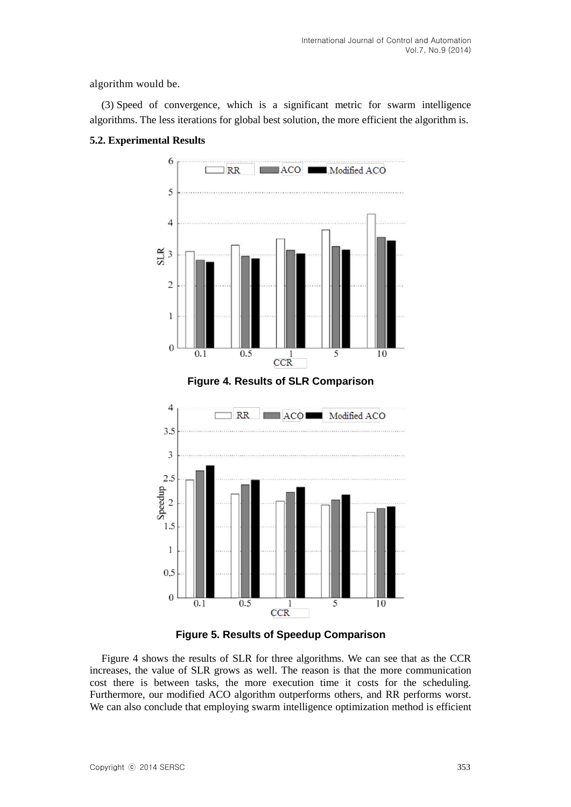algorithm would be.

(3) Speed of convergence, which is a significant metric for swarm intelligence algorithms. The less iterations for global best solution, the more efficient the algorithm is.

# **5.2. Experimental Results**



**Figure 4. Results of SLR Comparison**



**Figure 5. Results of Speedup Comparison**

Figure 4 shows the results of SLR for three algorithms. We can see that as the CCR increases, the value of SLR grows as well. The reason is that the more communication cost there is between tasks, the more execution time it costs for the scheduling. Furthermore, our modified ACO algorithm outperforms others, and RR performs worst. We can also conclude that employing swarm intelligence optimization method is efficient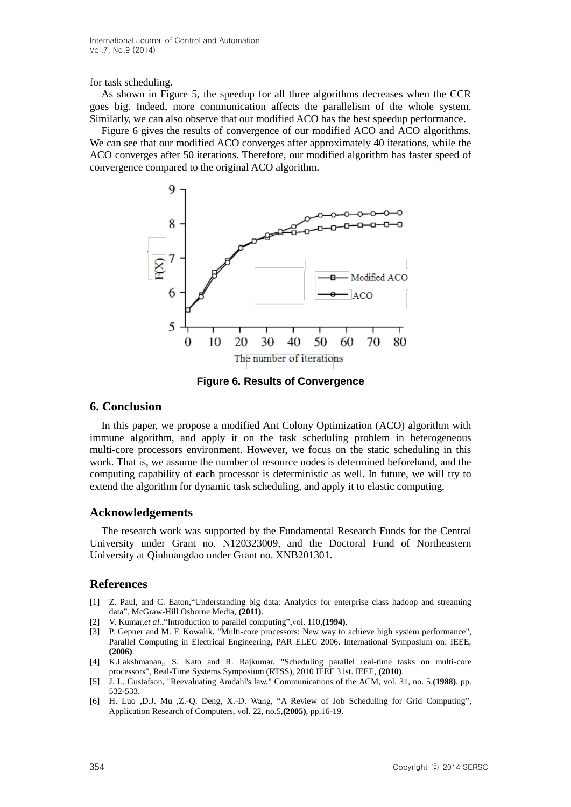International Journal of Control and Automation Vol.7, No.9 (2014)

for task scheduling.

As shown in Figure 5, the speedup for all three algorithms decreases when the CCR goes big. Indeed, more communication affects the parallelism of the whole system. Similarly, we can also observe that our modified ACO has the best speedup performance.

Figure 6 gives the results of convergence of our modified ACO and ACO algorithms. We can see that our modified ACO converges after approximately 40 iterations, while the ACO converges after 50 iterations. Therefore, our modified algorithm has faster speed of convergence compared to the original ACO algorithm.



**Figure 6. Results of Convergence**

### **6. Conclusion**

In this paper, we propose a modified Ant Colony Optimization (ACO) algorithm with immune algorithm, and apply it on the task scheduling problem in heterogeneous multi-core processors environment. However, we focus on the static scheduling in this work. That is, we assume the number of resource nodes is determined beforehand, and the computing capability of each processor is deterministic as well. In future, we will try to extend the algorithm for dynamic task scheduling, and apply it to elastic computing.

### **Acknowledgements**

The research work was supported by the Fundamental Research Funds for the Central University under Grant no. N120323009, and the Doctoral Fund of Northeastern University at Qinhuangdao under Grant no. XNB201301.

#### **References**

- [1] Z. Paul, and C. Eaton,"Understanding big data: Analytics for enterprise class hadoop and streaming data", McGraw-Hill Osborne Media, **(2011)**.
- [2] V. Kumar,*et al.*,"Introduction to parallel computing",vol. 110,**(1994)**.
- [3] P. Gepner and M. F. Kowalik, "Multi-core processors: New way to achieve high system performance", Parallel Computing in Electrical Engineering, PAR ELEC 2006. International Symposium on. IEEE, **(2006)**.
- [4] K.Lakshmanan,, S. Kato and R. Rajkumar. "Scheduling parallel real-time tasks on multi-core processors", Real-Time Systems Symposium (RTSS), 2010 IEEE 31st. IEEE, **(2010)**.
- [5] J. L. Gustafson, "Reevaluating Amdahl's law." Communications of the ACM, vol. 31, no. 5,**(1988)**, pp. 532-533.
- [6] H. Luo ,D.J. Mu ,Z.-Q. Deng, X.-D. Wang, "A Review of Job Scheduling for Grid Computing", Application Research of Computers, vol. 22, no.5,**(2005)**, pp.16-19.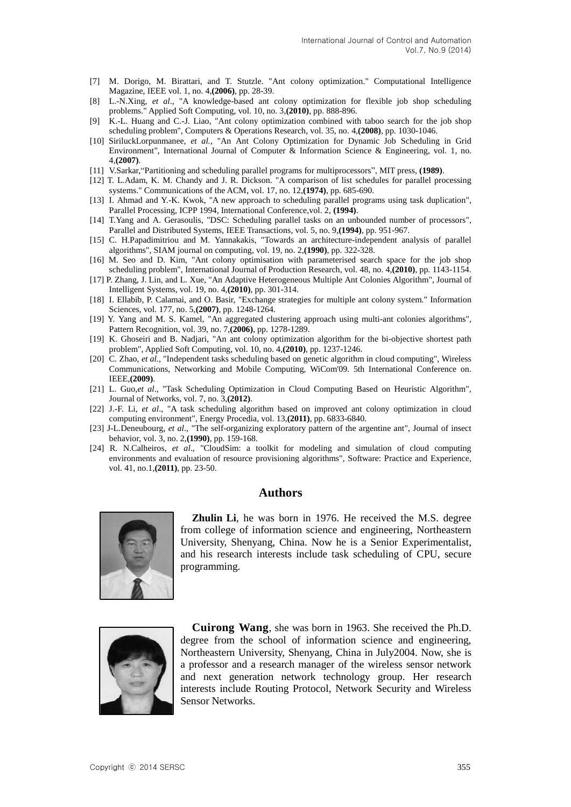- [7] M. Dorigo, M. Birattari, and T. Stutzle. "Ant colony optimization." Computational Intelligence Magazine, IEEE vol. 1, no. 4,**(2006)**, pp. 28-39.
- [8] L.-N.Xing, *et al*., "A knowledge-based ant colony optimization for flexible job shop scheduling problems." Applied Soft Computing, vol. 10, no. 3,**(2010)**, pp. 888-896.
- [9] K.-L. Huang and C.-J. Liao, "Ant colony optimization combined with taboo search for the job shop scheduling problem", Computers & Operations Research, vol. 35, no. 4,**(2008)**, pp. 1030-1046.
- [10] SiriluckLorpunmanee, *et al.*, "An Ant Colony Optimization for Dynamic Job Scheduling in Grid Environment", International Journal of Computer & Information Science & Engineering, vol. 1, no. 4,**(2007)**.
- [11] V.Sarkar,"Partitioning and scheduling parallel programs for multiprocessors", MIT press, **(1989)**.
- [12] T. L.Adam, K. M. Chandy and J. R. Dickson. "A comparison of list schedules for parallel processing systems." Communications of the ACM, vol. 17, no. 12,**(1974)**, pp. 685-690.
- [13] I. Ahmad and Y.-K. Kwok, "A new approach to scheduling parallel programs using task duplication", Parallel Processing, ICPP 1994, International Conference,vol. 2, **(1994)**.
- [14] T.Yang and A. Gerasoulis, "DSC: Scheduling parallel tasks on an unbounded number of processors", Parallel and Distributed Systems, IEEE Transactions, vol. 5, no. 9,**(1994)**, pp. 951-967.
- [15] C. H.Papadimitriou and M. Yannakakis, "Towards an architecture-independent analysis of parallel algorithms", SIAM journal on computing, vol. 19, no. 2,**(1990)**, pp. 322-328.
- [16] M. Seo and D. Kim, "Ant colony optimisation with parameterised search space for the job shop scheduling problem", International Journal of Production Research, vol. 48, no. 4,**(2010)**, pp. 1143-1154.
- [17] P. Zhang, J. Lin, and L. Xue, "An Adaptive Heterogeneous Multiple Ant Colonies Algorithm", Journal of Intelligent Systems, vol. 19, no. 4,**(2010)**, pp. 301-314.
- [18] I. Ellabib, P. Calamai, and O. Basir, "Exchange strategies for multiple ant colony system." Information Sciences, vol. 177, no. 5,**(2007)**, pp. 1248-1264.
- [19] Y. Yang and M. S. Kamel, "An aggregated clustering approach using multi-ant colonies algorithms", Pattern Recognition, vol. 39, no. 7,**(2006)**, pp. 1278-1289.
- [19] K. Ghoseiri and B. Nadjari, "An ant colony optimization algorithm for the bi-objective shortest path problem", Applied Soft Computing, vol. 10, no. 4,**(2010)**, pp. 1237-1246.
- [20] C. Zhao, *et al.*, "Independent tasks scheduling based on genetic algorithm in cloud computing", Wireless Communications, Networking and Mobile Computing, WiCom'09. 5th International Conference on. IEEE,**(2009)**.
- [21] L. Guo,*et al*., "Task Scheduling Optimization in Cloud Computing Based on Heuristic Algorithm", Journal of Networks, vol. 7, no. 3,**(2012)**.
- [22] J.-F. Li, *et al*., "A task scheduling algorithm based on improved ant colony optimization in cloud computing environment", Energy Procedia, vol. 13,**(2011)**, pp. 6833-6840.
- [23] J-L.Deneubourg, *et al*., "The self-organizing exploratory pattern of the argentine ant", Journal of insect behavior, vol. 3, no. 2,**(1990)**, pp. 159-168.
- [24] R. N.Calheiros, *et al*., "CloudSim: a toolkit for modeling and simulation of cloud computing environments and evaluation of resource provisioning algorithms", Software: Practice and Experience, vol. 41, no.1,**(2011)**, pp. 23-50.

#### **Authors**



**Zhulin Li**, he was born in 1976. He received the M.S. degree from college of information science and engineering, Northeastern University, Shenyang, China. Now he is a Senior Experimentalist, and his research interests include task scheduling of CPU, secure programming.



**Cuirong Wang**, she was born in 1963. She received the Ph.D. degree from the school of information science and engineering, Northeastern University, Shenyang, China in July2004. Now, she is a professor and a research manager of the wireless sensor network and next generation network technology group. Her research interests include Routing Protocol, Network Security and Wireless Sensor Networks.